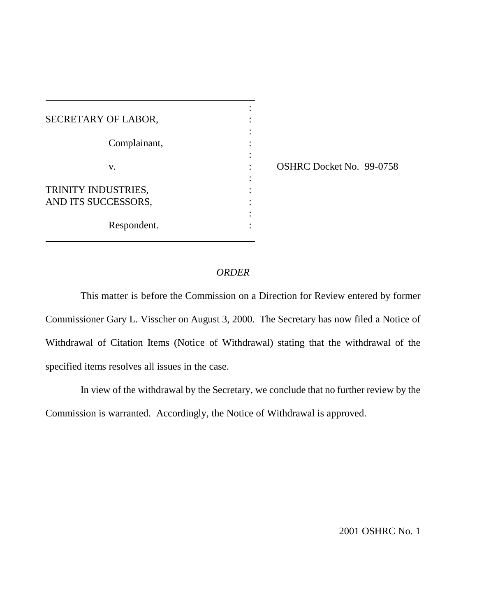| SECRETARY OF LABOR,                        |  |
|--------------------------------------------|--|
| Complainant,                               |  |
| V.                                         |  |
| TRINITY INDUSTRIES,<br>AND ITS SUCCESSORS, |  |
| Respondent.                                |  |

 $\overline{a}$ 

: OSHRC Docket No. 99-0758

## *ORDER*

:

:

:

:

This matter is before the Commission on a Direction for Review entered by former Commissioner Gary L. Visscher on August 3, 2000. The Secretary has now filed a Notice of Withdrawal of Citation Items (Notice of Withdrawal) stating that the withdrawal of the specified items resolves all issues in the case.

In view of the withdrawal by the Secretary, we conclude that no further review by the Commission is warranted. Accordingly, the Notice of Withdrawal is approved.

2001 OSHRC No. 1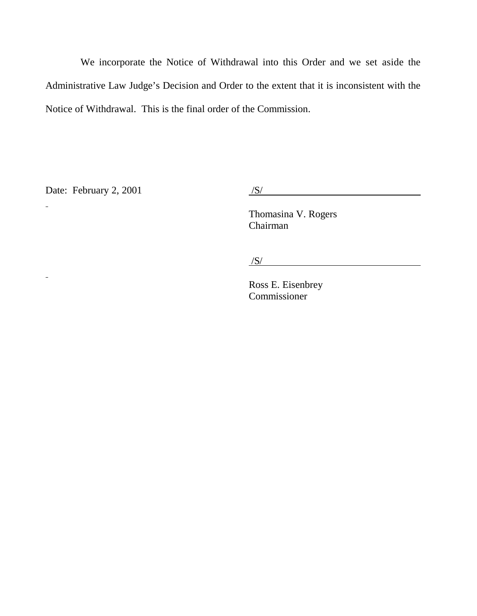We incorporate the Notice of Withdrawal into this Order and we set aside the Administrative Law Judge's Decision and Order to the extent that it is inconsistent with the Notice of Withdrawal. This is the final order of the Commission.

Date: February 2, 2001  $/S/$ 

 $\equiv$ 

 $\omega$ 

Thomasina V. Rogers Chairman

 $/S/$ 

Ross E. Eisenbrey Commissioner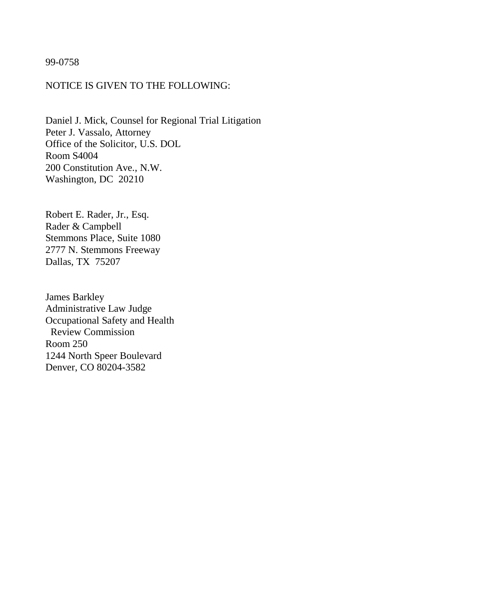99-0758

## NOTICE IS GIVEN TO THE FOLLOWING:

Daniel J. Mick, Counsel for Regional Trial Litigation Peter J. Vassalo, Attorney Office of the Solicitor, U.S. DOL Room S4004 200 Constitution Ave., N.W. Washington, DC 20210

Robert E. Rader, Jr., Esq. Rader & Campbell Stemmons Place, Suite 1080 2777 N. Stemmons Freeway Dallas, TX 75207

James Barkley Administrative Law Judge Occupational Safety and Health Review Commission Room 250 1244 North Speer Boulevard Denver, CO 80204-3582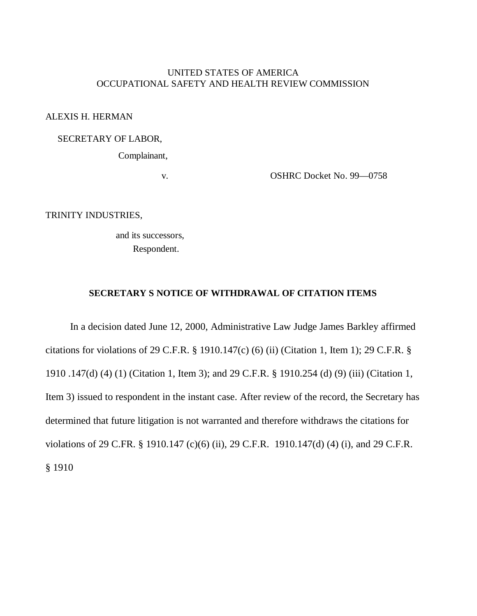# UNITED STATES OF AMERICA OCCUPATIONAL SAFETY AND HEALTH REVIEW COMMISSION

ALEXIS H. HERMAN

## SECRETARY OF LABOR,

Complainant,

v. OSHRC Docket No. 99—0758

TRINITY INDUSTRIES,

 and its successors, Respondent.

## **SECRETARY S NOTICE OF WITHDRAWAL OF CITATION ITEMS**

 In a decision dated June 12, 2000, Administrative Law Judge James Barkley affirmed citations for violations of 29 C.F.R. § 1910.147(c) (6) (ii) (Citation 1, Item 1); 29 C.F.R. § 1910 .147(d) (4) (1) (Citation 1, Item 3); and 29 C.F.R. § 1910.254 (d) (9) (iii) (Citation 1, Item 3) issued to respondent in the instant case. After review of the record, the Secretary has determined that future litigation is not warranted and therefore withdraws the citations for violations of 29 C.FR. § 1910.147 (c)(6) (ii), 29 C.F.R. 1910.147(d) (4) (i), and 29 C.F.R. § 1910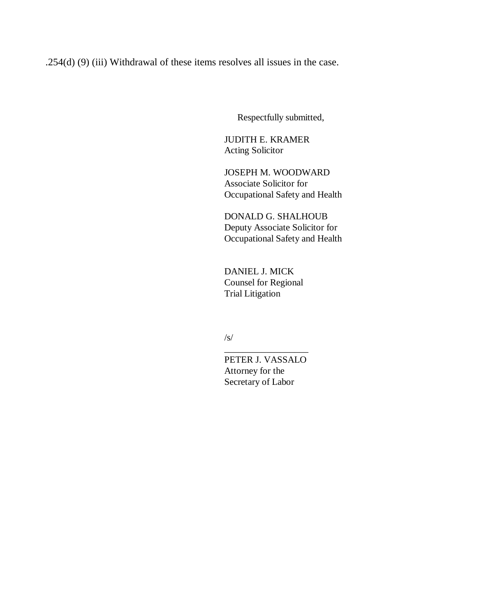.254(d) (9) (iii) Withdrawal of these items resolves all issues in the case.

Respectfully submitted,

JUDITH E. KRAMER Acting Solicitor

JOSEPH M. WOODWARD Associate Solicitor for Occupational Safety and Health

DONALD G. SHALHOUB Deputy Associate Solicitor for Occupational Safety and Health

DANIEL J. MICK Counsel for Regional Trial Litigation

/s/

PETER J. VASSALO Attorney for the Secretary of Labor

\_\_\_\_\_\_\_\_\_\_\_\_\_\_\_\_\_\_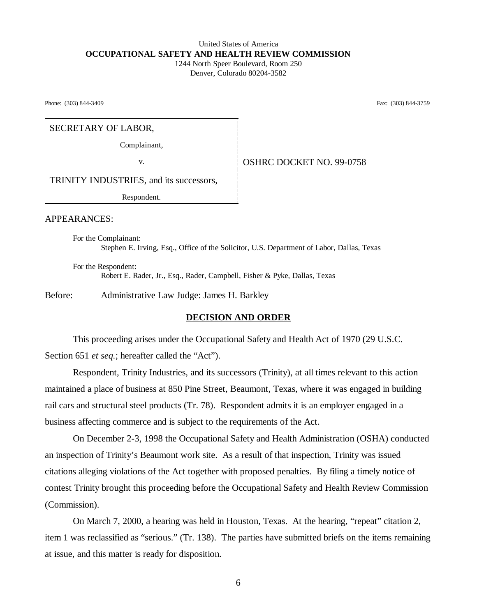#### United States of America  **OCCUPATIONAL SAFETY AND HEALTH REVIEW COMMISSION** 1244 North Speer Boulevard, Room 250 Denver, Colorado 80204-3582

Phone: (303) 844-3409 Fax: (303) 844-3759

#### SECRETARY OF LABOR,

Complainant,

v. 6. OSHRC DOCKET NO. 99-0758

TRINITY INDUSTRIES, and its successors,

Respondent.

APPEARANCES:

For the Complainant: Stephen E. Irving, Esq., Office of the Solicitor, U.S. Department of Labor, Dallas, Texas

For the Respondent: Robert E. Rader, Jr., Esq., Rader, Campbell, Fisher & Pyke, Dallas, Texas

Before: Administrative Law Judge: James H. Barkley

#### **DECISION AND ORDER**

This proceeding arises under the Occupational Safety and Health Act of 1970 (29 U.S.C. Section 651 *et seq.*; hereafter called the "Act").

Respondent, Trinity Industries, and its successors (Trinity), at all times relevant to this action maintained a place of business at 850 Pine Street, Beaumont, Texas, where it was engaged in building rail cars and structural steel products (Tr. 78). Respondent admits it is an employer engaged in a business affecting commerce and is subject to the requirements of the Act.

On December 2-3, 1998 the Occupational Safety and Health Administration (OSHA) conducted an inspection of Trinity's Beaumont work site. As a result of that inspection, Trinity was issued citations alleging violations of the Act together with proposed penalties. By filing a timely notice of contest Trinity brought this proceeding before the Occupational Safety and Health Review Commission (Commission).

On March 7, 2000, a hearing was held in Houston, Texas. At the hearing, "repeat" citation 2, item 1 was reclassified as "serious." (Tr. 138). The parties have submitted briefs on the items remaining at issue, and this matter is ready for disposition.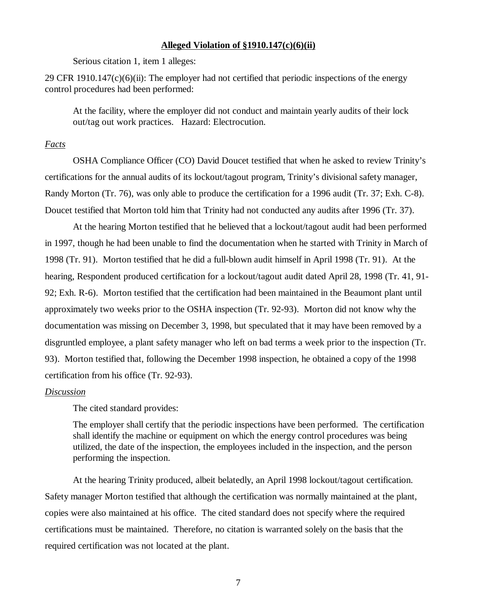### **Alleged Violation of §1910.147(c)(6)(ii)**

Serious citation 1, item 1 alleges:

29 CFR 1910.147 $(c)(6)(ii)$ : The employer had not certified that periodic inspections of the energy control procedures had been performed:

At the facility, where the employer did not conduct and maintain yearly audits of their lock out/tag out work practices. Hazard: Electrocution.

#### *Facts*

OSHA Compliance Officer (CO) David Doucet testified that when he asked to review Trinity's certifications for the annual audits of its lockout/tagout program, Trinity's divisional safety manager, Randy Morton (Tr. 76), was only able to produce the certification for a 1996 audit (Tr. 37; Exh. C-8). Doucet testified that Morton told him that Trinity had not conducted any audits after 1996 (Tr. 37).

At the hearing Morton testified that he believed that a lockout/tagout audit had been performed in 1997, though he had been unable to find the documentation when he started with Trinity in March of 1998 (Tr. 91). Morton testified that he did a full-blown audit himself in April 1998 (Tr. 91). At the hearing, Respondent produced certification for a lockout/tagout audit dated April 28, 1998 (Tr. 41, 91- 92; Exh. R-6). Morton testified that the certification had been maintained in the Beaumont plant until approximately two weeks prior to the OSHA inspection (Tr. 92-93). Morton did not know why the documentation was missing on December 3, 1998, but speculated that it may have been removed by a disgruntled employee, a plant safety manager who left on bad terms a week prior to the inspection (Tr. 93). Morton testified that, following the December 1998 inspection, he obtained a copy of the 1998 certification from his office (Tr. 92-93).

#### *Discussion*

The cited standard provides:

The employer shall certify that the periodic inspections have been performed. The certification shall identify the machine or equipment on which the energy control procedures was being utilized, the date of the inspection, the employees included in the inspection, and the person performing the inspection.

At the hearing Trinity produced, albeit belatedly, an April 1998 lockout/tagout certification. Safety manager Morton testified that although the certification was normally maintained at the plant, copies were also maintained at his office. The cited standard does not specify where the required certifications must be maintained. Therefore, no citation is warranted solely on the basis that the required certification was not located at the plant.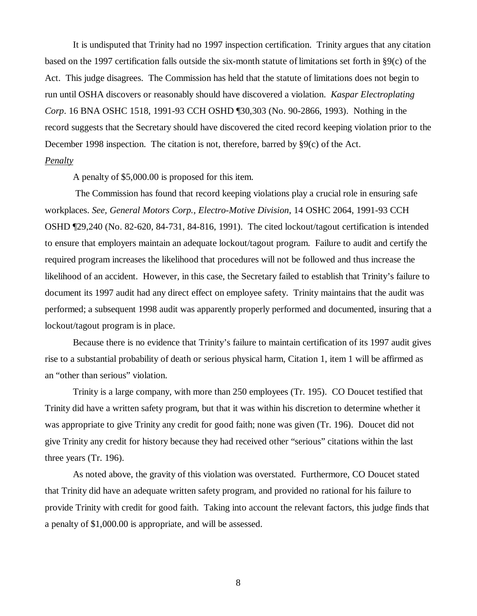It is undisputed that Trinity had no 1997 inspection certification. Trinity argues that any citation based on the 1997 certification falls outside the six-month statute of limitations set forth in §9(c) of the Act. This judge disagrees. The Commission has held that the statute of limitations does not begin to run until OSHA discovers or reasonably should have discovered a violation. *Kaspar Electroplating Corp*. 16 BNA OSHC 1518, 1991-93 CCH OSHD ¶30,303 (No. 90-2866, 1993). Nothing in the record suggests that the Secretary should have discovered the cited record keeping violation prior to the December 1998 inspection. The citation is not, therefore, barred by §9(c) of the Act.

# *Penalty*

A penalty of \$5,000.00 is proposed for this item.

 The Commission has found that record keeping violations play a crucial role in ensuring safe workplaces. *See, General Motors Corp., Electro-Motive Division*, 14 OSHC 2064, 1991-93 CCH OSHD ¶29,240 (No. 82-620, 84-731, 84-816, 1991). The cited lockout/tagout certification is intended to ensure that employers maintain an adequate lockout/tagout program. Failure to audit and certify the required program increases the likelihood that procedures will not be followed and thus increase the likelihood of an accident. However, in this case, the Secretary failed to establish that Trinity's failure to document its 1997 audit had any direct effect on employee safety. Trinity maintains that the audit was performed; a subsequent 1998 audit was apparently properly performed and documented, insuring that a lockout/tagout program is in place.

Because there is no evidence that Trinity's failure to maintain certification of its 1997 audit gives rise to a substantial probability of death or serious physical harm, Citation 1, item 1 will be affirmed as an "other than serious" violation.

 Trinity is a large company, with more than 250 employees (Tr. 195). CO Doucet testified that Trinity did have a written safety program, but that it was within his discretion to determine whether it was appropriate to give Trinity any credit for good faith; none was given (Tr. 196). Doucet did not give Trinity any credit for history because they had received other "serious" citations within the last three years (Tr. 196).

As noted above, the gravity of this violation was overstated. Furthermore, CO Doucet stated that Trinity did have an adequate written safety program, and provided no rational for his failure to provide Trinity with credit for good faith. Taking into account the relevant factors, this judge finds that a penalty of \$1,000.00 is appropriate, and will be assessed.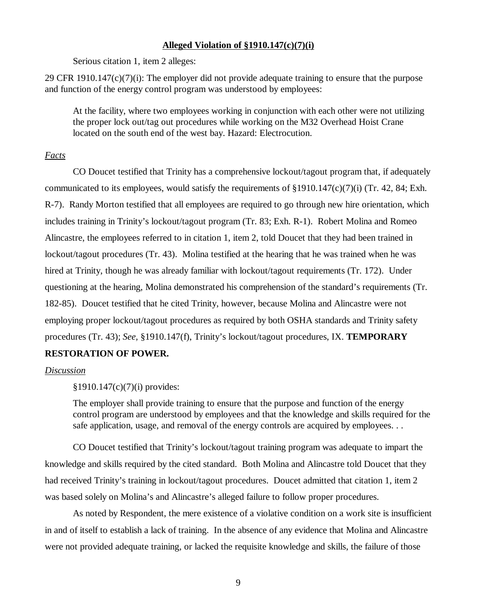## **Alleged Violation of §1910.147(c)(7)(i)**

Serious citation 1, item 2 alleges:

29 CFR 1910.147 $(c)(7)(i)$ : The employer did not provide adequate training to ensure that the purpose and function of the energy control program was understood by employees:

At the facility, where two employees working in conjunction with each other were not utilizing the proper lock out/tag out procedures while working on the M32 Overhead Hoist Crane located on the south end of the west bay. Hazard: Electrocution.

## *Facts*

CO Doucet testified that Trinity has a comprehensive lockout/tagout program that, if adequately communicated to its employees, would satisfy the requirements of §1910.147(c)(7)(i) (Tr. 42, 84; Exh. R-7). Randy Morton testified that all employees are required to go through new hire orientation, which includes training in Trinity's lockout/tagout program (Tr. 83; Exh. R-1). Robert Molina and Romeo Alincastre, the employees referred to in citation 1, item 2, told Doucet that they had been trained in lockout/tagout procedures (Tr. 43). Molina testified at the hearing that he was trained when he was hired at Trinity, though he was already familiar with lockout/tagout requirements (Tr. 172). Under questioning at the hearing, Molina demonstrated his comprehension of the standard's requirements (Tr. 182-85). Doucet testified that he cited Trinity, however, because Molina and Alincastre were not employing proper lockout/tagout procedures as required by both OSHA standards and Trinity safety procedures (Tr. 43); *See,* §1910.147(f), Trinity's lockout/tagout procedures, IX. **TEMPORARY**

## **RESTORATION OF POWER.**

### *Discussion*

§1910.147(c)(7)(i) provides:

The employer shall provide training to ensure that the purpose and function of the energy control program are understood by employees and that the knowledge and skills required for the safe application, usage, and removal of the energy controls are acquired by employees. . .

CO Doucet testified that Trinity's lockout/tagout training program was adequate to impart the knowledge and skills required by the cited standard. Both Molina and Alincastre told Doucet that they had received Trinity's training in lockout/tagout procedures. Doucet admitted that citation 1, item 2 was based solely on Molina's and Alincastre's alleged failure to follow proper procedures.

As noted by Respondent, the mere existence of a violative condition on a work site is insufficient in and of itself to establish a lack of training. In the absence of any evidence that Molina and Alincastre were not provided adequate training, or lacked the requisite knowledge and skills, the failure of those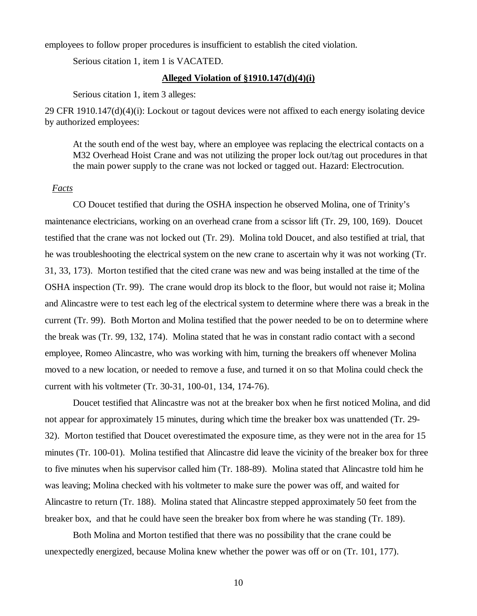employees to follow proper procedures is insufficient to establish the cited violation.

Serious citation 1, item 1 is VACATED.

#### **Alleged Violation of §1910.147(d)(4)(i)**

Serious citation 1, item 3 alleges:

29 CFR 1910.147(d)(4)(i): Lockout or tagout devices were not affixed to each energy isolating device by authorized employees:

At the south end of the west bay, where an employee was replacing the electrical contacts on a M32 Overhead Hoist Crane and was not utilizing the proper lock out/tag out procedures in that the main power supply to the crane was not locked or tagged out. Hazard: Electrocution.

#### *Facts*

CO Doucet testified that during the OSHA inspection he observed Molina, one of Trinity's maintenance electricians, working on an overhead crane from a scissor lift (Tr. 29, 100, 169). Doucet testified that the crane was not locked out (Tr. 29). Molina told Doucet, and also testified at trial, that he was troubleshooting the electrical system on the new crane to ascertain why it was not working (Tr. 31, 33, 173). Morton testified that the cited crane was new and was being installed at the time of the OSHA inspection (Tr. 99). The crane would drop its block to the floor, but would not raise it; Molina and Alincastre were to test each leg of the electrical system to determine where there was a break in the current (Tr. 99). Both Morton and Molina testified that the power needed to be on to determine where the break was (Tr. 99, 132, 174). Molina stated that he was in constant radio contact with a second employee, Romeo Alincastre, who was working with him, turning the breakers off whenever Molina moved to a new location, or needed to remove a fuse, and turned it on so that Molina could check the current with his voltmeter (Tr. 30-31, 100-01, 134, 174-76).

Doucet testified that Alincastre was not at the breaker box when he first noticed Molina, and did not appear for approximately 15 minutes, during which time the breaker box was unattended (Tr. 29- 32). Morton testified that Doucet overestimated the exposure time, as they were not in the area for 15 minutes (Tr. 100-01). Molina testified that Alincastre did leave the vicinity of the breaker box for three to five minutes when his supervisor called him (Tr. 188-89). Molina stated that Alincastre told him he was leaving; Molina checked with his voltmeter to make sure the power was off, and waited for Alincastre to return (Tr. 188). Molina stated that Alincastre stepped approximately 50 feet from the breaker box, and that he could have seen the breaker box from where he was standing (Tr. 189).

Both Molina and Morton testified that there was no possibility that the crane could be unexpectedly energized, because Molina knew whether the power was off or on (Tr. 101, 177).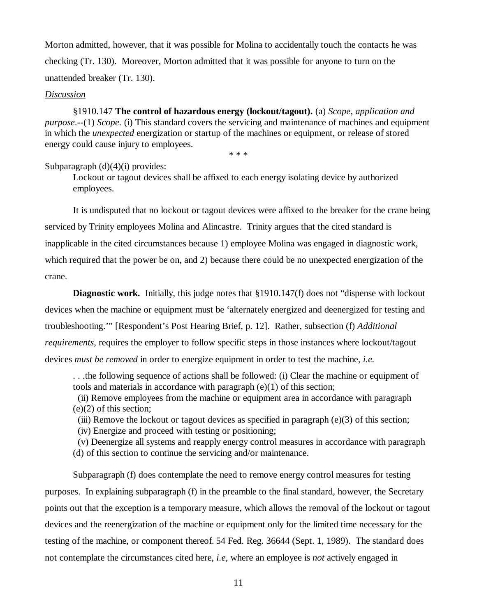Morton admitted, however, that it was possible for Molina to accidentally touch the contacts he was checking (Tr. 130). Moreover, Morton admitted that it was possible for anyone to turn on the unattended breaker (Tr. 130).

#### *Discussion*

§1910.147 **The control of hazardous energy (lockout/tagout).** (a) *Scope, application and purpose*.--(1) *Scope.* (i) This standard covers the servicing and maintenance of machines and equipment in which the *unexpected* energization or startup of the machines or equipment, or release of stored energy could cause injury to employees.

\* \* \*

### Subparagraph  $(d)(4)(i)$  provides:

Lockout or tagout devices shall be affixed to each energy isolating device by authorized employees.

It is undisputed that no lockout or tagout devices were affixed to the breaker for the crane being serviced by Trinity employees Molina and Alincastre. Trinity argues that the cited standard is inapplicable in the cited circumstances because 1) employee Molina was engaged in diagnostic work, which required that the power be on, and 2) because there could be no unexpected energization of the crane.

**Diagnostic work.** Initially, this judge notes that §1910.147(f) does not "dispense with lockout devices when the machine or equipment must be 'alternately energized and deenergized for testing and troubleshooting.'" [Respondent's Post Hearing Brief, p. 12]. Rather, subsection (f) *Additional requirements*, requires the employer to follow specific steps in those instances where lockout/tagout devices *must be removed* in order to energize equipment in order to test the machine, *i.e.*

. . .the following sequence of actions shall be followed: (i) Clear the machine or equipment of tools and materials in accordance with paragraph (e)(1) of this section;

 (ii) Remove employees from the machine or equipment area in accordance with paragraph (e)(2) of this section;

(iii) Remove the lockout or tagout devices as specified in paragraph  $(e)(3)$  of this section;

(iv) Energize and proceed with testing or positioning;

 (v) Deenergize all systems and reapply energy control measures in accordance with paragraph (d) of this section to continue the servicing and/or maintenance.

Subparagraph (f) does contemplate the need to remove energy control measures for testing purposes. In explaining subparagraph (f) in the preamble to the final standard, however, the Secretary points out that the exception is a temporary measure, which allows the removal of the lockout or tagout devices and the reenergization of the machine or equipment only for the limited time necessary for the testing of the machine, or component thereof. 54 Fed. Reg. 36644 (Sept. 1, 1989). The standard does not contemplate the circumstances cited here, *i.e,* where an employee is *not* actively engaged in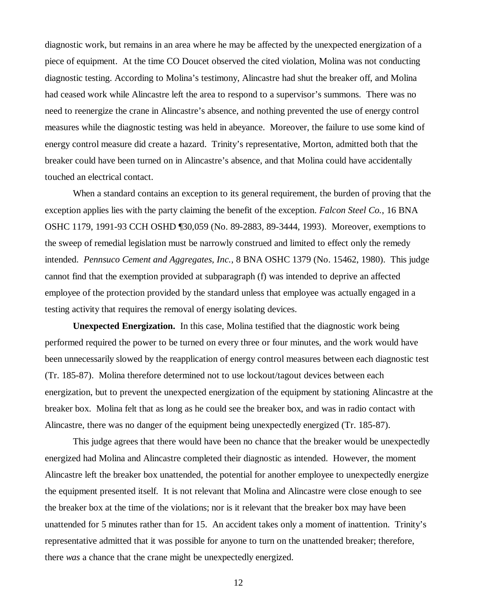diagnostic work, but remains in an area where he may be affected by the unexpected energization of a piece of equipment. At the time CO Doucet observed the cited violation, Molina was not conducting diagnostic testing. According to Molina's testimony, Alincastre had shut the breaker off, and Molina had ceased work while Alincastre left the area to respond to a supervisor's summons. There was no need to reenergize the crane in Alincastre's absence, and nothing prevented the use of energy control measures while the diagnostic testing was held in abeyance. Moreover, the failure to use some kind of energy control measure did create a hazard. Trinity's representative, Morton, admitted both that the breaker could have been turned on in Alincastre's absence, and that Molina could have accidentally touched an electrical contact.

When a standard contains an exception to its general requirement, the burden of proving that the exception applies lies with the party claiming the benefit of the exception. *Falcon Steel Co.*, 16 BNA OSHC 1179, 1991-93 CCH OSHD ¶30,059 (No. 89-2883, 89-3444, 1993). Moreover, exemptions to the sweep of remedial legislation must be narrowly construed and limited to effect only the remedy intended. *Pennsuco Cement and Aggregates, Inc.*, 8 BNA OSHC 1379 (No. 15462, 1980). This judge cannot find that the exemption provided at subparagraph (f) was intended to deprive an affected employee of the protection provided by the standard unless that employee was actually engaged in a testing activity that requires the removal of energy isolating devices.

**Unexpected Energization.** In this case, Molina testified that the diagnostic work being performed required the power to be turned on every three or four minutes, and the work would have been unnecessarily slowed by the reapplication of energy control measures between each diagnostic test (Tr. 185-87). Molina therefore determined not to use lockout/tagout devices between each energization, but to prevent the unexpected energization of the equipment by stationing Alincastre at the breaker box. Molina felt that as long as he could see the breaker box, and was in radio contact with Alincastre, there was no danger of the equipment being unexpectedly energized (Tr. 185-87).

This judge agrees that there would have been no chance that the breaker would be unexpectedly energized had Molina and Alincastre completed their diagnostic as intended. However, the moment Alincastre left the breaker box unattended, the potential for another employee to unexpectedly energize the equipment presented itself. It is not relevant that Molina and Alincastre were close enough to see the breaker box at the time of the violations; nor is it relevant that the breaker box may have been unattended for 5 minutes rather than for 15. An accident takes only a moment of inattention. Trinity's representative admitted that it was possible for anyone to turn on the unattended breaker; therefore, there *was* a chance that the crane might be unexpectedly energized.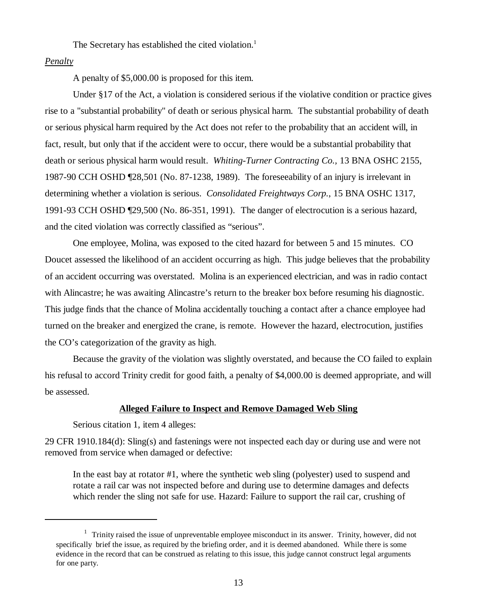The Secretary has established the cited violation.<sup>1</sup>

### *Penalty*

A penalty of \$5,000.00 is proposed for this item.

Under §17 of the Act, a violation is considered serious if the violative condition or practice gives rise to a "substantial probability" of death or serious physical harm. The substantial probability of death or serious physical harm required by the Act does not refer to the probability that an accident will, in fact, result, but only that if the accident were to occur, there would be a substantial probability that death or serious physical harm would result. *Whiting-Turner Contracting Co.,* 13 BNA OSHC 2155, 1987-90 CCH OSHD ¶28,501 (No. 87-1238, 1989). The foreseeability of an injury is irrelevant in determining whether a violation is serious. *Consolidated Freightways Corp.*, 15 BNA OSHC 1317, 1991-93 CCH OSHD ¶29,500 (No. 86-351, 1991). The danger of electrocution is a serious hazard, and the cited violation was correctly classified as "serious".

One employee, Molina, was exposed to the cited hazard for between 5 and 15 minutes. CO Doucet assessed the likelihood of an accident occurring as high. This judge believes that the probability of an accident occurring was overstated. Molina is an experienced electrician, and was in radio contact with Alincastre; he was awaiting Alincastre's return to the breaker box before resuming his diagnostic. This judge finds that the chance of Molina accidentally touching a contact after a chance employee had turned on the breaker and energized the crane, is remote. However the hazard, electrocution, justifies the CO's categorization of the gravity as high.

Because the gravity of the violation was slightly overstated, and because the CO failed to explain his refusal to accord Trinity credit for good faith, a penalty of \$4,000.00 is deemed appropriate, and will be assessed.

### **Alleged Failure to Inspect and Remove Damaged Web Sling**

Serious citation 1, item 4 alleges:

29 CFR 1910.184(d): Sling(s) and fastenings were not inspected each day or during use and were not removed from service when damaged or defective:

In the east bay at rotator #1, where the synthetic web sling (polyester) used to suspend and rotate a rail car was not inspected before and during use to determine damages and defects which render the sling not safe for use. Hazard: Failure to support the rail car, crushing of

 $1$  Trinity raised the issue of unpreventable employee misconduct in its answer. Trinity, however, did not specifically brief the issue, as required by the briefing order, and it is deemed abandoned. While there is some evidence in the record that can be construed as relating to this issue, this judge cannot construct legal arguments for one party.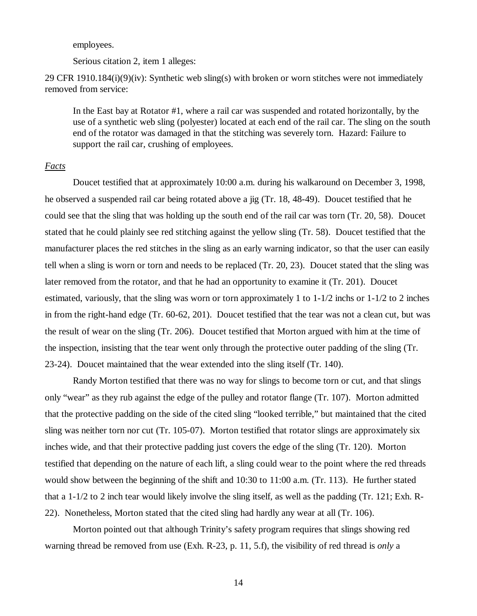employees.

Serious citation 2, item 1 alleges:

29 CFR 1910.184(i)(9)(iv): Synthetic web sling(s) with broken or worn stitches were not immediately removed from service:

In the East bay at Rotator #1, where a rail car was suspended and rotated horizontally, by the use of a synthetic web sling (polyester) located at each end of the rail car. The sling on the south end of the rotator was damaged in that the stitching was severely torn. Hazard: Failure to support the rail car, crushing of employees.

### *Facts*

Doucet testified that at approximately 10:00 a.m. during his walkaround on December 3, 1998, he observed a suspended rail car being rotated above a jig (Tr. 18, 48-49). Doucet testified that he could see that the sling that was holding up the south end of the rail car was torn (Tr. 20, 58). Doucet stated that he could plainly see red stitching against the yellow sling (Tr. 58). Doucet testified that the manufacturer places the red stitches in the sling as an early warning indicator, so that the user can easily tell when a sling is worn or torn and needs to be replaced (Tr. 20, 23). Doucet stated that the sling was later removed from the rotator, and that he had an opportunity to examine it (Tr. 201). Doucet estimated, variously, that the sling was worn or torn approximately 1 to  $1-1/2$  inchs or  $1-1/2$  to 2 inches in from the right-hand edge (Tr. 60-62, 201). Doucet testified that the tear was not a clean cut, but was the result of wear on the sling (Tr. 206). Doucet testified that Morton argued with him at the time of the inspection, insisting that the tear went only through the protective outer padding of the sling (Tr. 23-24). Doucet maintained that the wear extended into the sling itself (Tr. 140).

Randy Morton testified that there was no way for slings to become torn or cut, and that slings only "wear" as they rub against the edge of the pulley and rotator flange (Tr. 107). Morton admitted that the protective padding on the side of the cited sling "looked terrible," but maintained that the cited sling was neither torn nor cut (Tr. 105-07). Morton testified that rotator slings are approximately six inches wide, and that their protective padding just covers the edge of the sling (Tr. 120). Morton testified that depending on the nature of each lift, a sling could wear to the point where the red threads would show between the beginning of the shift and 10:30 to 11:00 a.m. (Tr. 113). He further stated that a 1-1/2 to 2 inch tear would likely involve the sling itself, as well as the padding (Tr. 121; Exh. R-22). Nonetheless, Morton stated that the cited sling had hardly any wear at all (Tr. 106).

Morton pointed out that although Trinity's safety program requires that slings showing red warning thread be removed from use (Exh. R-23, p. 11, 5.f), the visibility of red thread is *only* a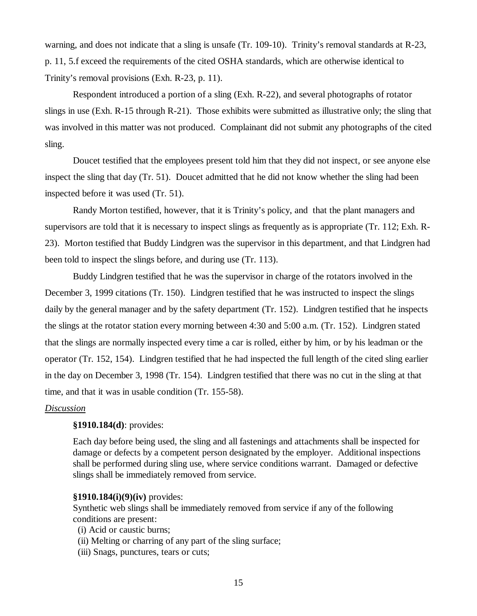warning, and does not indicate that a sling is unsafe (Tr. 109-10). Trinity's removal standards at R-23, p. 11, 5.f exceed the requirements of the cited OSHA standards, which are otherwise identical to Trinity's removal provisions (Exh. R-23, p. 11).

Respondent introduced a portion of a sling (Exh. R-22), and several photographs of rotator slings in use (Exh. R-15 through R-21). Those exhibits were submitted as illustrative only; the sling that was involved in this matter was not produced. Complainant did not submit any photographs of the cited sling.

Doucet testified that the employees present told him that they did not inspect, or see anyone else inspect the sling that day (Tr. 51). Doucet admitted that he did not know whether the sling had been inspected before it was used (Tr. 51).

Randy Morton testified, however, that it is Trinity's policy, and that the plant managers and supervisors are told that it is necessary to inspect slings as frequently as is appropriate (Tr. 112; Exh. R-23). Morton testified that Buddy Lindgren was the supervisor in this department, and that Lindgren had been told to inspect the slings before, and during use (Tr. 113).

Buddy Lindgren testified that he was the supervisor in charge of the rotators involved in the December 3, 1999 citations (Tr. 150). Lindgren testified that he was instructed to inspect the slings daily by the general manager and by the safety department (Tr. 152). Lindgren testified that he inspects the slings at the rotator station every morning between 4:30 and 5:00 a.m. (Tr. 152). Lindgren stated that the slings are normally inspected every time a car is rolled, either by him, or by his leadman or the operator (Tr. 152, 154). Lindgren testified that he had inspected the full length of the cited sling earlier in the day on December 3, 1998 (Tr. 154). Lindgren testified that there was no cut in the sling at that time, and that it was in usable condition (Tr. 155-58).

### *Discussion*

### **§1910.184(d)**: provides:

Each day before being used, the sling and all fastenings and attachments shall be inspected for damage or defects by a competent person designated by the employer. Additional inspections shall be performed during sling use, where service conditions warrant. Damaged or defective slings shall be immediately removed from service.

#### **§1910.184(i)(9)(iv)** provides:

Synthetic web slings shall be immediately removed from service if any of the following conditions are present:

(i) Acid or caustic burns;

- (ii) Melting or charring of any part of the sling surface;
- (iii) Snags, punctures, tears or cuts;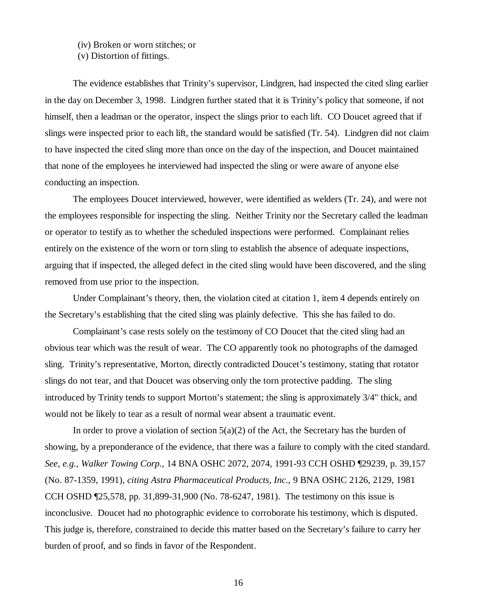## (iv) Broken or worn stitches; or

(v) Distortion of fittings.

The evidence establishes that Trinity's supervisor, Lindgren, had inspected the cited sling earlier in the day on December 3, 1998. Lindgren further stated that it is Trinity's policy that someone, if not himself, then a leadman or the operator, inspect the slings prior to each lift. CO Doucet agreed that if slings were inspected prior to each lift, the standard would be satisfied (Tr. 54). Lindgren did not claim to have inspected the cited sling more than once on the day of the inspection, and Doucet maintained that none of the employees he interviewed had inspected the sling or were aware of anyone else conducting an inspection.

The employees Doucet interviewed, however, were identified as welders (Tr. 24), and were not the employees responsible for inspecting the sling. Neither Trinity nor the Secretary called the leadman or operator to testify as to whether the scheduled inspections were performed. Complainant relies entirely on the existence of the worn or torn sling to establish the absence of adequate inspections, arguing that if inspected, the alleged defect in the cited sling would have been discovered, and the sling removed from use prior to the inspection.

Under Complainant's theory, then, the violation cited at citation 1, item 4 depends entirely on the Secretary's establishing that the cited sling was plainly defective. This she has failed to do.

Complainant's case rests solely on the testimony of CO Doucet that the cited sling had an obvious tear which was the result of wear. The CO apparently took no photographs of the damaged sling. Trinity's representative, Morton, directly contradicted Doucet's testimony, stating that rotator slings do not tear, and that Doucet was observing only the torn protective padding. The sling introduced by Trinity tends to support Morton's statement; the sling is approximately 3/4" thick, and would not be likely to tear as a result of normal wear absent a traumatic event.

In order to prove a violation of section  $5(a)(2)$  of the Act, the Secretary has the burden of showing, by a preponderance of the evidence, that there was a failure to comply with the cited standard. *See, e.g., Walker Towing Corp.*, 14 BNA OSHC 2072, 2074, 1991-93 CCH OSHD ¶29239, p. 39,157 (No. 87-1359, 1991), *citing Astra Pharmaceutical Products, Inc.*, 9 BNA OSHC 2126, 2129, 1981 CCH OSHD ¶25,578, pp. 31,899-31,900 (No. 78-6247, 1981). The testimony on this issue is inconclusive. Doucet had no photographic evidence to corroborate his testimony, which is disputed. This judge is, therefore, constrained to decide this matter based on the Secretary's failure to carry her burden of proof, and so finds in favor of the Respondent.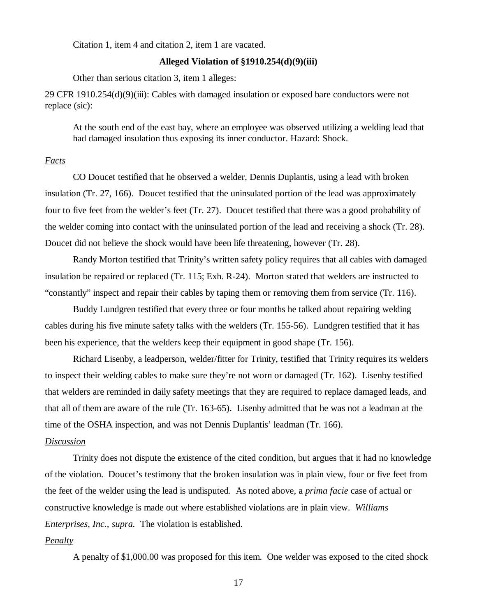Citation 1, item 4 and citation 2, item 1 are vacated.

#### **Alleged Violation of §1910.254(d)(9)(iii)**

Other than serious citation 3, item 1 alleges:

29 CFR 1910.254(d)(9)(iii): Cables with damaged insulation or exposed bare conductors were not replace (sic):

At the south end of the east bay, where an employee was observed utilizing a welding lead that had damaged insulation thus exposing its inner conductor. Hazard: Shock.

#### *Facts*

CO Doucet testified that he observed a welder, Dennis Duplantis, using a lead with broken insulation (Tr. 27, 166). Doucet testified that the uninsulated portion of the lead was approximately four to five feet from the welder's feet (Tr. 27). Doucet testified that there was a good probability of the welder coming into contact with the uninsulated portion of the lead and receiving a shock (Tr. 28). Doucet did not believe the shock would have been life threatening, however (Tr. 28).

Randy Morton testified that Trinity's written safety policy requires that all cables with damaged insulation be repaired or replaced (Tr. 115; Exh. R-24). Morton stated that welders are instructed to "constantly" inspect and repair their cables by taping them or removing them from service (Tr. 116).

Buddy Lundgren testified that every three or four months he talked about repairing welding cables during his five minute safety talks with the welders (Tr. 155-56). Lundgren testified that it has been his experience, that the welders keep their equipment in good shape (Tr. 156).

Richard Lisenby, a leadperson, welder/fitter for Trinity, testified that Trinity requires its welders to inspect their welding cables to make sure they're not worn or damaged (Tr. 162). Lisenby testified that welders are reminded in daily safety meetings that they are required to replace damaged leads, and that all of them are aware of the rule (Tr. 163-65). Lisenby admitted that he was not a leadman at the time of the OSHA inspection, and was not Dennis Duplantis' leadman (Tr. 166).

### *Discussion*

Trinity does not dispute the existence of the cited condition, but argues that it had no knowledge of the violation. Doucet's testimony that the broken insulation was in plain view, four or five feet from the feet of the welder using the lead is undisputed. As noted above, a *prima facie* case of actual or constructive knowledge is made out where established violations are in plain view. *Williams Enterprises, Inc., supra.* The violation is established.

#### *Penalty*

A penalty of \$1,000.00 was proposed for this item. One welder was exposed to the cited shock